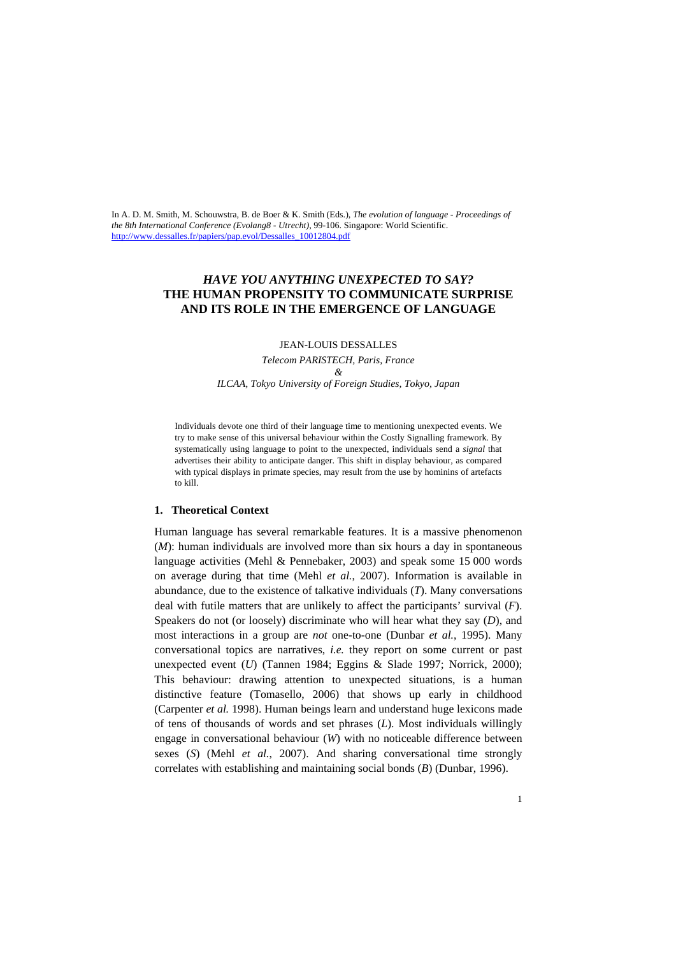In A. D. M. Smith, M. Schouwstra, B. de Boer & K. Smith (Eds.), *The evolution of language - Proceedings of the 8th International Conference (Evolang8 - Utrecht)*, 99-106. Singapore: World Scientific. http://www.dessalles.fr/papiers/pap.evol/Dessalles\_10012804.pdf

# *HAVE YOU ANYTHING UNEXPECTED TO SAY?* **THE HUMAN PROPENSITY TO COMMUNICATE SURPRISE AND ITS ROLE IN THE EMERGENCE OF LANGUAGE**

#### JEAN-LOUIS DESSALLES

*Telecom PARISTECH, Paris, France & ILCAA, Tokyo University of Foreign Studies, Tokyo, Japan* 

Individuals devote one third of their language time to mentioning unexpected events. We try to make sense of this universal behaviour within the Costly Signalling framework. By systematically using language to point to the unexpected, individuals send a *signal* that advertises their ability to anticipate danger. This shift in display behaviour, as compared with typical displays in primate species, may result from the use by hominins of artefacts to kill.

# **1. Theoretical Context**

Human language has several remarkable features. It is a massive phenomenon (*M*): human individuals are involved more than six hours a day in spontaneous language activities (Mehl & Pennebaker, 2003) and speak some 15 000 words on average during that time (Mehl *et al.*, 2007). Information is available in abundance, due to the existence of talkative individuals (*T*). Many conversations deal with futile matters that are unlikely to affect the participants' survival (*F*). Speakers do not (or loosely) discriminate who will hear what they say (*D*), and most interactions in a group are *not* one-to-one (Dunbar *et al.*, 1995). Many conversational topics are narratives, *i.e.* they report on some current or past unexpected event (*U*) (Tannen 1984; Eggins & Slade 1997; Norrick, 2000); This behaviour: drawing attention to unexpected situations, is a human distinctive feature (Tomasello, 2006) that shows up early in childhood (Carpenter *et al.* 1998). Human beings learn and understand huge lexicons made of tens of thousands of words and set phrases (*L*). Most individuals willingly engage in conversational behaviour (*W*) with no noticeable difference between sexes (*S*) (Mehl *et al.*, 2007). And sharing conversational time strongly correlates with establishing and maintaining social bonds (*B*) (Dunbar, 1996).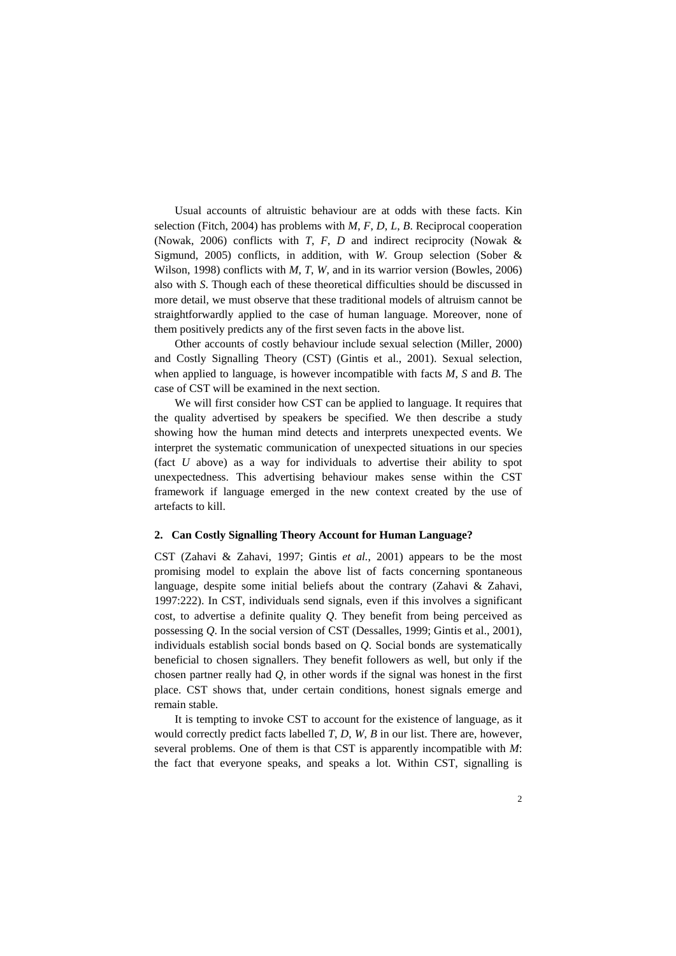Usual accounts of altruistic behaviour are at odds with these facts. Kin selection (Fitch, 2004) has problems with *M*, *F*, *D*, *L*, *B*. Reciprocal cooperation (Nowak, 2006) conflicts with *T*, *F*, *D* and indirect reciprocity (Nowak & Sigmund, 2005) conflicts, in addition, with *W*. Group selection (Sober & Wilson, 1998) conflicts with *M*, *T*, *W*, and in its warrior version (Bowles, 2006) also with *S*. Though each of these theoretical difficulties should be discussed in more detail, we must observe that these traditional models of altruism cannot be straightforwardly applied to the case of human language. Moreover, none of them positively predicts any of the first seven facts in the above list.

Other accounts of costly behaviour include sexual selection (Miller, 2000) and Costly Signalling Theory (CST) (Gintis et al., 2001). Sexual selection, when applied to language, is however incompatible with facts *M*, *S* and *B*. The case of CST will be examined in the next section.

We will first consider how CST can be applied to language. It requires that the quality advertised by speakers be specified. We then describe a study showing how the human mind detects and interprets unexpected events. We interpret the systematic communication of unexpected situations in our species (fact *U* above) as a way for individuals to advertise their ability to spot unexpectedness. This advertising behaviour makes sense within the CST framework if language emerged in the new context created by the use of artefacts to kill.

#### **2. Can Costly Signalling Theory Account for Human Language?**

CST (Zahavi & Zahavi, 1997; Gintis *et al.*, 2001) appears to be the most promising model to explain the above list of facts concerning spontaneous language, despite some initial beliefs about the contrary (Zahavi & Zahavi, 1997:222). In CST, individuals send signals, even if this involves a significant cost, to advertise a definite quality *Q*. They benefit from being perceived as possessing *Q*. In the social version of CST (Dessalles, 1999; Gintis et al., 2001), individuals establish social bonds based on *Q*. Social bonds are systematically beneficial to chosen signallers. They benefit followers as well, but only if the chosen partner really had *Q*, in other words if the signal was honest in the first place. CST shows that, under certain conditions, honest signals emerge and remain stable.

It is tempting to invoke CST to account for the existence of language, as it would correctly predict facts labelled *T*, *D*, *W*, *B* in our list. There are, however, several problems. One of them is that CST is apparently incompatible with *M*: the fact that everyone speaks, and speaks a lot. Within CST, signalling is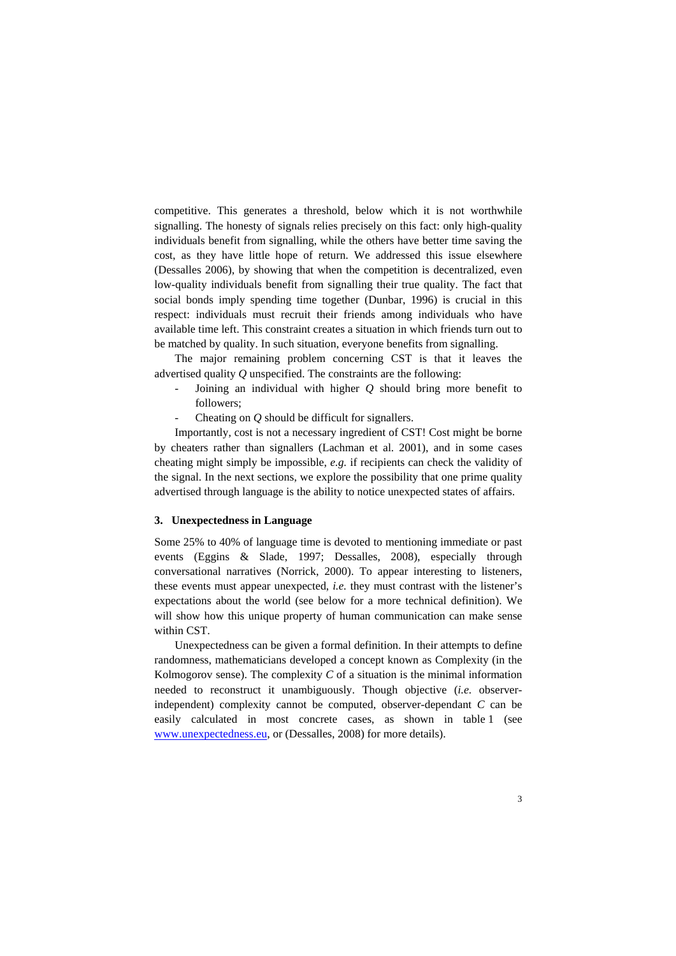competitive. This generates a threshold, below which it is not worthwhile signalling. The honesty of signals relies precisely on this fact: only high-quality individuals benefit from signalling, while the others have better time saving the cost, as they have little hope of return. We addressed this issue elsewhere (Dessalles 2006), by showing that when the competition is decentralized, even low-quality individuals benefit from signalling their true quality. The fact that social bonds imply spending time together (Dunbar, 1996) is crucial in this respect: individuals must recruit their friends among individuals who have available time left. This constraint creates a situation in which friends turn out to be matched by quality. In such situation, everyone benefits from signalling.

The major remaining problem concerning CST is that it leaves the advertised quality *Q* unspecified. The constraints are the following:

- Joining an individual with higher *Q* should bring more benefit to followers;
- Cheating on *O* should be difficult for signallers.

Importantly, cost is not a necessary ingredient of CST! Cost might be borne by cheaters rather than signallers (Lachman et al. 2001), and in some cases cheating might simply be impossible, *e.g.* if recipients can check the validity of the signal. In the next sections, we explore the possibility that one prime quality advertised through language is the ability to notice unexpected states of affairs.

# **3. Unexpectedness in Language**

Some 25% to 40% of language time is devoted to mentioning immediate or past events (Eggins & Slade, 1997; Dessalles, 2008), especially through conversational narratives (Norrick, 2000). To appear interesting to listeners, these events must appear unexpected, *i.e.* they must contrast with the listener's expectations about the world (see below for a more technical definition). We will show how this unique property of human communication can make sense within CST.

Unexpectedness can be given a formal definition. In their attempts to define randomness, mathematicians developed a concept known as Complexity (in the Kolmogorov sense). The complexity  $C$  of a situation is the minimal information needed to reconstruct it unambiguously. Though objective (*i.e.* observerindependent) complexity cannot be computed, observer-dependant *C* can be easily calculated in most concrete cases, as shown in table 1 (see www.unexpectedness.eu, or (Dessalles, 2008) for more details).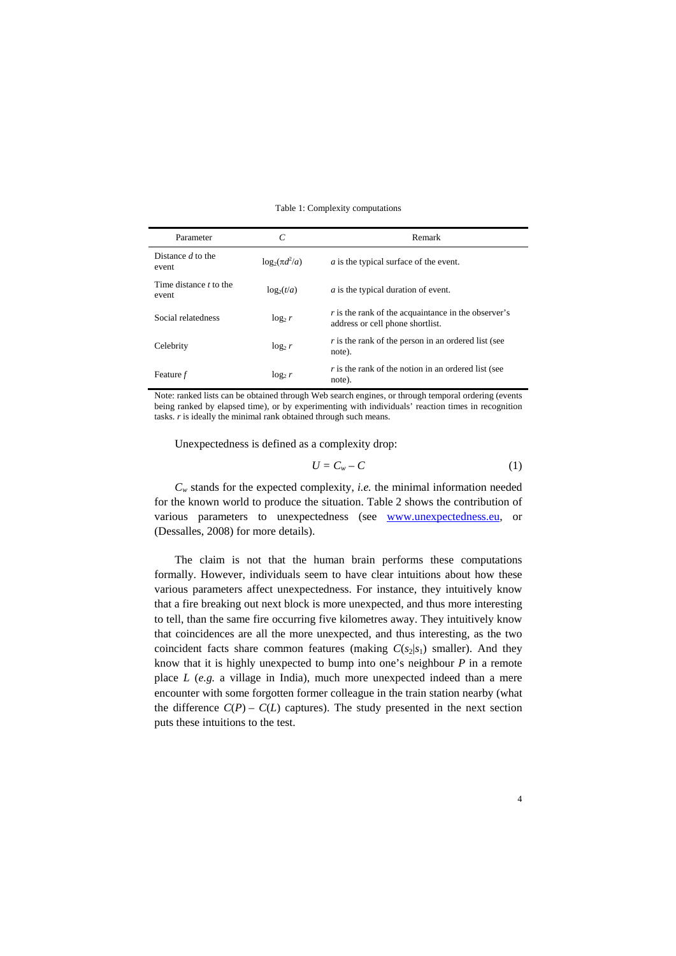| Parameter                       | C                   | Remark                                                                                  |
|---------------------------------|---------------------|-----------------------------------------------------------------------------------------|
| Distance $d$ to the<br>event    | $\log_2(\pi d^2/a)$ | <i>a</i> is the typical surface of the event.                                           |
| Time distance t to the<br>event | $\log_2(t/a)$       | <i>a</i> is the typical duration of event.                                              |
| Social relatedness              | $\log_2 r$          | r is the rank of the acquaintance in the observer's<br>address or cell phone shortlist. |
| Celebrity                       | $\log_2 r$          | $r$ is the rank of the person in an ordered list (see<br>note).                         |
| Feature f                       | $\log_2 r$          | r is the rank of the notion in an ordered list (see<br>note).                           |

Table 1: Complexity computations

Note: ranked lists can be obtained through Web search engines, or through temporal ordering (events being ranked by elapsed time), or by experimenting with individuals' reaction times in recognition tasks. *r* is ideally the minimal rank obtained through such means.

Unexpectedness is defined as a complexity drop:

$$
U = C_w - C \tag{1}
$$

*Cw* stands for the expected complexity, *i.e.* the minimal information needed for the known world to produce the situation. Table 2 shows the contribution of various parameters to unexpectedness (see www.unexpectedness.eu, or (Dessalles, 2008) for more details).

The claim is not that the human brain performs these computations formally. However, individuals seem to have clear intuitions about how these various parameters affect unexpectedness. For instance, they intuitively know that a fire breaking out next block is more unexpected, and thus more interesting to tell, than the same fire occurring five kilometres away. They intuitively know that coincidences are all the more unexpected, and thus interesting, as the two coincident facts share common features (making  $C(s_2|s_1)$  smaller). And they know that it is highly unexpected to bump into one's neighbour *P* in a remote place *L* (*e.g.* a village in India), much more unexpected indeed than a mere encounter with some forgotten former colleague in the train station nearby (what the difference  $C(P) - C(L)$  captures). The study presented in the next section puts these intuitions to the test.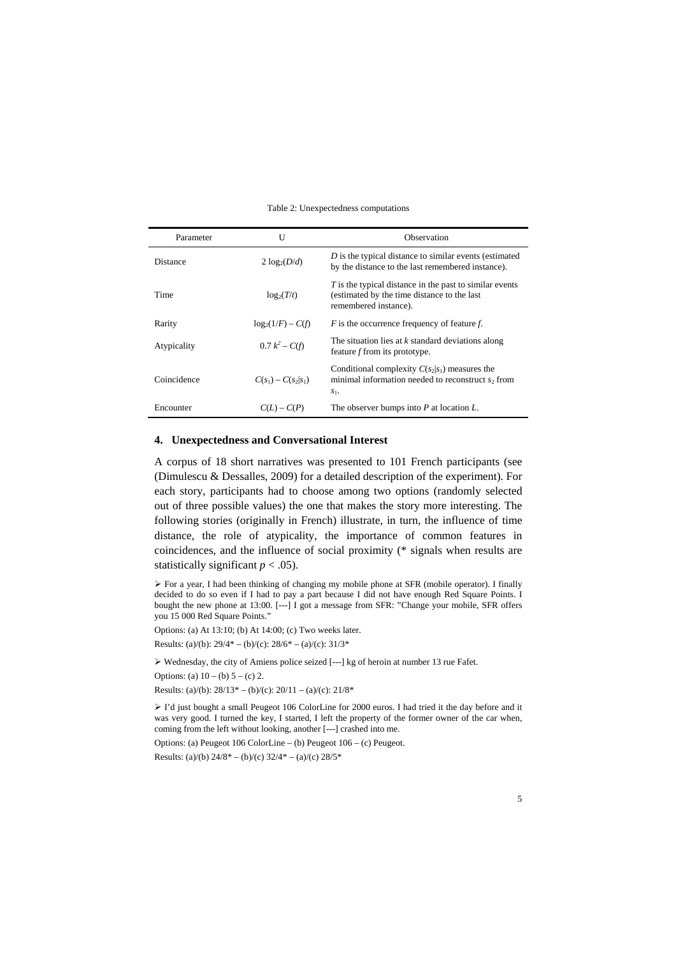| Parameter   | U                     | Observation                                                                                                                        |
|-------------|-----------------------|------------------------------------------------------------------------------------------------------------------------------------|
| Distance    | $2 \log_2(D/d)$       | D is the typical distance to similar events (estimated<br>by the distance to the last remembered instance).                        |
| Time        | $log_2(T/t)$          | $T$ is the typical distance in the past to similar events<br>(estimated by the time distance to the last)<br>remembered instance). |
| Rarity      | $log_2(1/F) - C(f)$   | $F$ is the occurrence frequency of feature $f$ .                                                                                   |
| Atypicality | $0.7 k^2 - C(f)$      | The situation lies at $k$ standard deviations along<br>feature f from its prototype.                                               |
| Coincidence | $C(s_1) - C(s_2 s_1)$ | Conditional complexity $C(s_2 s_1)$ measures the<br>minimal information needed to reconstruct $s_2$ from<br>$S1$ .                 |
| Encounter   | $C(L) - C(P)$         | The observer bumps into $P$ at location $L$ .                                                                                      |

#### Table 2: Unexpectedness computations

# **4. Unexpectedness and Conversational Interest**

A corpus of 18 short narratives was presented to 101 French participants (see (Dimulescu & Dessalles, 2009) for a detailed description of the experiment). For each story, participants had to choose among two options (randomly selected out of three possible values) the one that makes the story more interesting. The following stories (originally in French) illustrate, in turn, the influence of time distance, the role of atypicality, the importance of common features in coincidences, and the influence of social proximity (\* signals when results are statistically significant  $p < .05$ ).

 For a year, I had been thinking of changing my mobile phone at SFR (mobile operator). I finally decided to do so even if I had to pay a part because I did not have enough Red Square Points. I bought the new phone at 13:00. [---] I got a message from SFR: "Change your mobile, SFR offers you 15 000 Red Square Points."

Options: (a) At 13:10; (b) At 14:00; (c) Two weeks later.

Results: (a)/(b):  $29/4* - (b)/(c)$ :  $28/6* - (a)/(c)$ :  $31/3*$ 

Wednesday, the city of Amiens police seized [---] kg of heroin at number 13 rue Fafet.

Options: (a)  $10 - (b) 5 - (c) 2$ .

Results: (a)/(b):  $28/13^* - (b)/(c)$ :  $20/11 - (a)/(c)$ :  $21/8^*$ 

 $\triangleright$  I'd just bought a small Peugeot 106 ColorLine for 2000 euros. I had tried it the day before and it was very good. I turned the key, I started, I left the property of the former owner of the car when, coming from the left without looking, another [---] crashed into me.

Options: (a) Peugeot 106 ColorLine – (b) Peugeot 106 – (c) Peugeot.

Results: (a)/(b)  $24/8^* - (b)/(c) 32/4^* - (a)/(c) 28/5^*$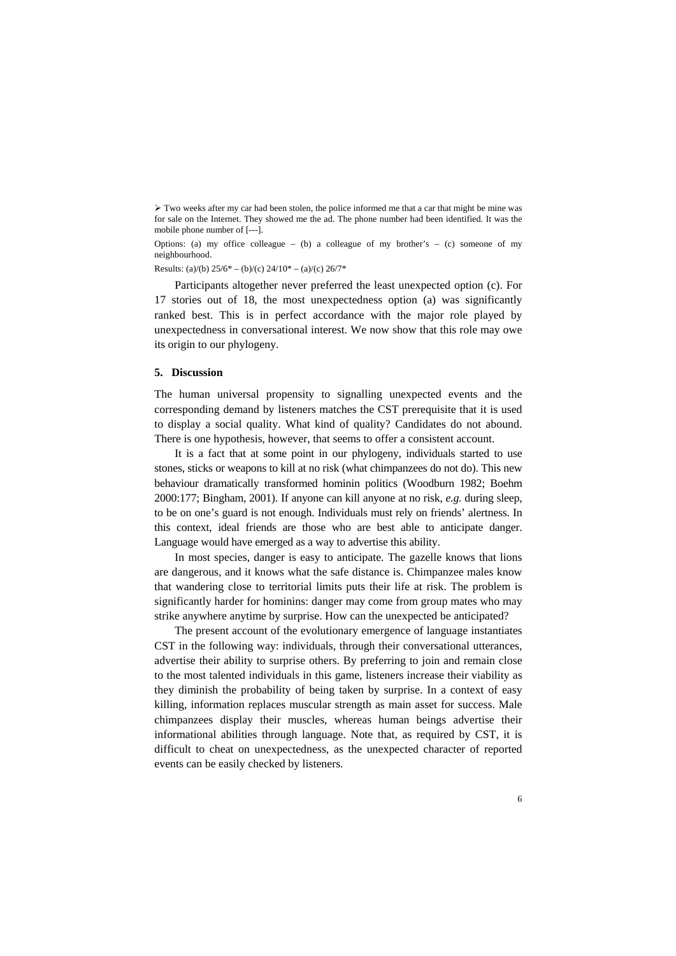$\triangleright$  Two weeks after my car had been stolen, the police informed me that a car that might be mine was for sale on the Internet. They showed me the ad. The phone number had been identified. It was the mobile phone number of [---].

Options: (a) my office colleague – (b) a colleague of my brother's – (c) someone of my neighbourhood.

Results: (a)/(b)  $25/6^* - (b)/(c) 24/10^* - (a)/(c) 26/7^*$ 

Participants altogether never preferred the least unexpected option (c). For 17 stories out of 18, the most unexpectedness option (a) was significantly ranked best. This is in perfect accordance with the major role played by unexpectedness in conversational interest. We now show that this role may owe its origin to our phylogeny.

#### **5. Discussion**

The human universal propensity to signalling unexpected events and the corresponding demand by listeners matches the CST prerequisite that it is used to display a social quality. What kind of quality? Candidates do not abound. There is one hypothesis, however, that seems to offer a consistent account.

It is a fact that at some point in our phylogeny, individuals started to use stones, sticks or weapons to kill at no risk (what chimpanzees do not do). This new behaviour dramatically transformed hominin politics (Woodburn 1982; Boehm 2000:177; Bingham, 2001). If anyone can kill anyone at no risk, *e.g.* during sleep, to be on one's guard is not enough. Individuals must rely on friends' alertness. In this context, ideal friends are those who are best able to anticipate danger. Language would have emerged as a way to advertise this ability.

In most species, danger is easy to anticipate. The gazelle knows that lions are dangerous, and it knows what the safe distance is. Chimpanzee males know that wandering close to territorial limits puts their life at risk. The problem is significantly harder for hominins: danger may come from group mates who may strike anywhere anytime by surprise. How can the unexpected be anticipated?

The present account of the evolutionary emergence of language instantiates CST in the following way: individuals, through their conversational utterances, advertise their ability to surprise others. By preferring to join and remain close to the most talented individuals in this game, listeners increase their viability as they diminish the probability of being taken by surprise. In a context of easy killing, information replaces muscular strength as main asset for success. Male chimpanzees display their muscles, whereas human beings advertise their informational abilities through language. Note that, as required by CST, it is difficult to cheat on unexpectedness, as the unexpected character of reported events can be easily checked by listeners.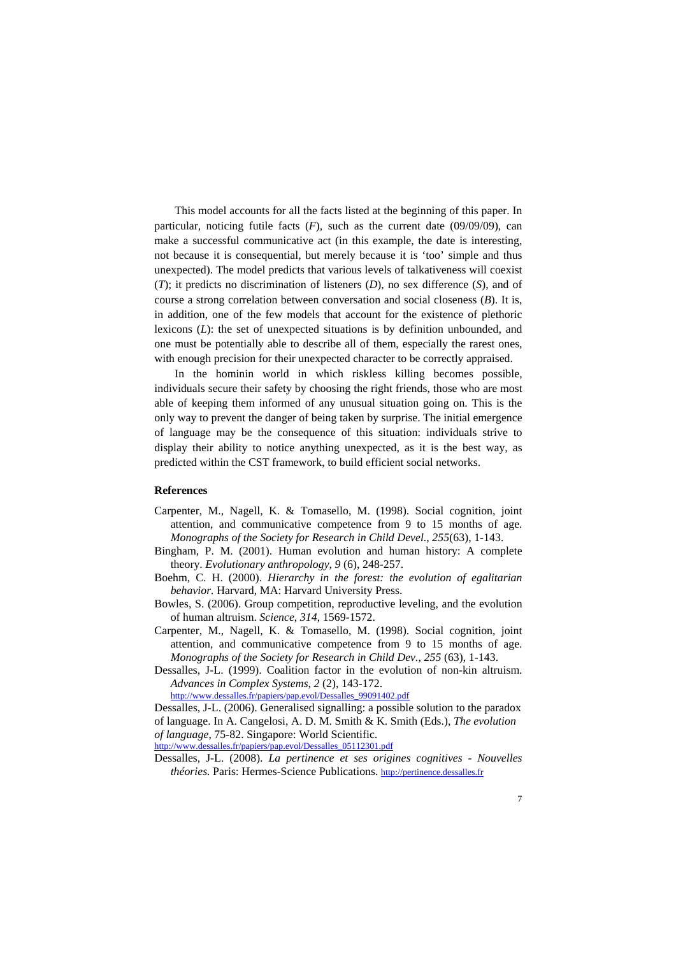This model accounts for all the facts listed at the beginning of this paper. In particular, noticing futile facts  $(F)$ , such as the current date  $(09/09/09)$ , can make a successful communicative act (in this example, the date is interesting, not because it is consequential, but merely because it is 'too' simple and thus unexpected). The model predicts that various levels of talkativeness will coexist (*T*); it predicts no discrimination of listeners (*D*), no sex difference (*S*), and of course a strong correlation between conversation and social closeness (*B*). It is, in addition, one of the few models that account for the existence of plethoric lexicons (*L*): the set of unexpected situations is by definition unbounded, and one must be potentially able to describe all of them, especially the rarest ones, with enough precision for their unexpected character to be correctly appraised.

In the hominin world in which riskless killing becomes possible, individuals secure their safety by choosing the right friends, those who are most able of keeping them informed of any unusual situation going on. This is the only way to prevent the danger of being taken by surprise. The initial emergence of language may be the consequence of this situation: individuals strive to display their ability to notice anything unexpected, as it is the best way, as predicted within the CST framework, to build efficient social networks.

# **References**

- Carpenter, M., Nagell, K. & Tomasello, M. (1998). Social cognition, joint attention, and communicative competence from 9 to 15 months of age. *Monographs of the Society for Research in Child Devel.*, *255*(63), 1-143.
- Bingham, P. M. (2001). Human evolution and human history: A complete theory. *Evolutionary anthropology*, *9* (6), 248-257.
- Boehm, C. H. (2000). *Hierarchy in the forest: the evolution of egalitarian behavior.* Harvard, MA: Harvard University Press.
- Bowles, S. (2006). Group competition, reproductive leveling, and the evolution of human altruism. *Science*, *314*, 1569-1572.
- Carpenter, M., Nagell, K. & Tomasello, M. (1998). Social cognition, joint attention, and communicative competence from 9 to 15 months of age. *Monographs of the Society for Research in Child Dev.*, *255* (63), 1-143.
- Dessalles, J-L. (1999). Coalition factor in the evolution of non-kin altruism. *Advances in Complex Systems*, *2* (2), 143-172.

http://www.dessalles.fr/papiers/pap.evol/Dessalles\_99091402.pdf

Dessalles, J-L. (2006). Generalised signalling: a possible solution to the paradox of language. In A. Cangelosi, A. D. M. Smith & K. Smith (Eds.), *The evolution of language*, 75-82. Singapore: World Scientific.

http://www.dessalles.fr/papiers/pap.evol/Dessalles\_05112301.pdf

Dessalles, J-L. (2008). *La pertinence et ses origines cognitives - Nouvelles théories.* Paris: Hermes-Science Publications. http://pertinence.dessalles.fr